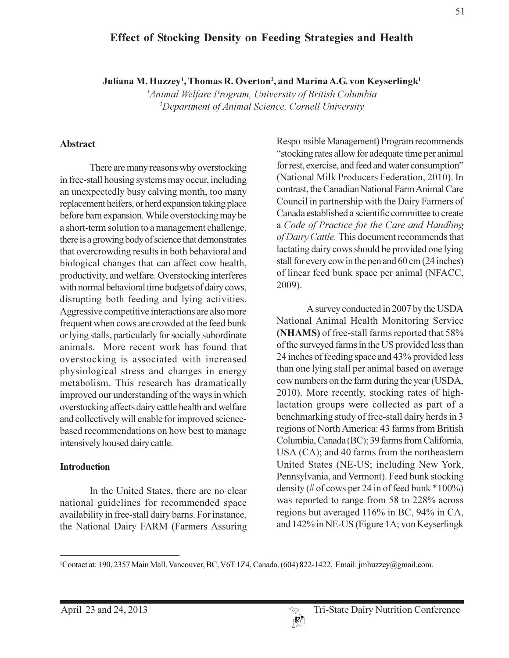# **Effect of Stocking Density on Feeding Strategies and Health**

Juliana M. Huzzey<sup>1</sup>, Thomas R. Overton<sup>2</sup>, and Marina A.G. von Keyserlingk<sup>1</sup>

<sup>1</sup>Animal Welfare Program, University of British Columbia <sup>2</sup>Department of Animal Science, Cornell University

#### **Abstract**

There are many reasons why overstocking in free-stall housing systems may occur, including an unexpectedly busy calving month, too many replacement heifers, or herd expansion taking place before barn expansion. While overstocking may be a short-term solution to a management challenge, there is a growing body of science that demonstrates that overcrowding results in both behavioral and biological changes that can affect cow health, productivity, and welfare. Overstocking interferes with normal behavioral time budgets of dairy cows, disrupting both feeding and lying activities. Aggressive competitive interactions are also more frequent when cows are crowded at the feed bunk or lying stalls, particularly for socially subordinate animals. More recent work has found that overstocking is associated with increased physiological stress and changes in energy metabolism. This research has dramatically improved our understanding of the ways in which overstocking affects dairy cattle health and welfare and collectively will enable for improved sciencebased recommendations on how best to manage intensively housed dairy cattle.

#### **Introduction**

In the United States, there are no clear national guidelines for recommended space availability in free-stall dairy barns. For instance, the National Dairy FARM (Farmers Assuring Responsible Management) Program recommends "stocking rates allow for adequate time per animal" for rest, exercise, and feed and water consumption" (National Milk Producers Federation, 2010). In contrast, the Canadian National Farm Animal Care Council in partnership with the Dairy Farmers of Canada established a scientific committee to create a Code of Practice for the Care and Handling of Dairy Cattle. This document recommends that lactating dairy cows should be provided one lying stall for every cow in the pen and 60 cm (24 inches) of linear feed bunk space per animal (NFACC, 2009).

A survey conducted in 2007 by the USDA National Animal Health Monitoring Service (NHAMS) of free-stall farms reported that 58% of the surveyed farms in the US provided less than 24 inches of feeding space and 43% provided less than one lying stall per animal based on average cow numbers on the farm during the year (USDA, 2010). More recently, stocking rates of highlactation groups were collected as part of a benchmarking study of free-stall dairy herds in 3 regions of North America: 43 farms from British Columbia, Canada (BC); 39 farms from California, USA (CA); and 40 farms from the northeastern United States (NE-US; including New York, Pennsylvania, and Vermont). Feed bunk stocking density (# of cows per 24 in of feed bunk  $*100\%$ ) was reported to range from 58 to 228% across regions but averaged 116% in BC, 94% in CA, and 142% in NE-US (Figure 1A; von Keyserlingk

<sup>&</sup>lt;sup>1</sup>Contact at: 190, 2357 Main Mall, Vancouver, BC, V6T 1Z4, Canada, (604) 822-1422, Email: jmhuzzey@gmail.com.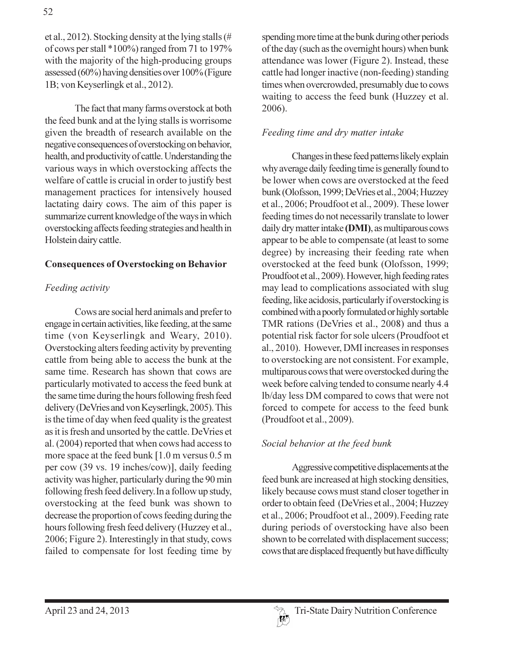et al., 2012). Stocking density at the lying stalls (# of cows per stall \*100%) ranged from 71 to 197% with the majority of the high-producing groups assessed (60%) having densities over 100% (Figure 1B; von Keyserlingk et al., 2012).

The fact that many farms overstock at both the feed bunk and at the lying stalls is worrisome given the breadth of research available on the negative consequences of overstocking on behavior, health, and productivity of cattle. Understanding the various ways in which overstocking affects the welfare of cattle is crucial in order to justify best management practices for intensively housed lactating dairy cows. The aim of this paper is summarize current knowledge of the ways in which overstocking affects feeding strategies and health in Holstein dairy cattle.

#### **Consequences of Overstocking on Behavior**

### Feeding activity

Cows are social herd animals and prefer to engage in certain activities, like feeding, at the same time (von Keyserlingk and Weary, 2010). Overstocking alters feeding activity by preventing cattle from being able to access the bunk at the same time. Research has shown that cows are particularly motivated to access the feed bunk at the same time during the hours following fresh feed delivery (DeVries and von Keyserlingk, 2005). This is the time of day when feed quality is the greatest as it is fresh and unsorted by the cattle. DeVries et al. (2004) reported that when cows had access to more space at the feed bunk  $[1.0 \text{ m}$  versus  $0.5 \text{ m}$ per cow (39 vs. 19 inches/cow)], daily feeding activity was higher, particularly during the 90 min following fresh feed delivery. In a follow up study, overstocking at the feed bunk was shown to decrease the proportion of cows feeding during the hours following fresh feed delivery (Huzzey et al., 2006; Figure 2). Interestingly in that study, cows failed to compensate for lost feeding time by

spending more time at the bunk during other periods of the day (such as the overnight hours) when bunk attendance was lower (Figure 2). Instead, these cattle had longer inactive (non-feeding) standing times when overcrowded, presumably due to cows waiting to access the feed bunk (Huzzey et al. 2006).

#### Feeding time and dry matter intake

Changes in these feed patterns likely explain why average daily feeding time is generally found to be lower when cows are overstocked at the feed bunk (Olofsson, 1999; DeVries et al., 2004; Huzzey et al., 2006; Proudfoot et al., 2009). These lower feeding times do not necessarily translate to lower daily dry matter intake (DMI), as multiparous cows appear to be able to compensate (at least to some degree) by increasing their feeding rate when overstocked at the feed bunk (Olofsson, 1999; Proudfoot et al., 2009). However, high feeding rates may lead to complications associated with slug feeding, like acidosis, particularly if overstocking is combined with a poorly formulated or highly sortable TMR rations (DeVries et al., 2008) and thus a potential risk factor for sole ulcers (Proudfoot et al., 2010). However, DMI increases in responses to overstocking are not consistent. For example, multiparous cows that were overstocked during the week before calving tended to consume nearly 4.4 lb/day less DM compared to cows that were not forced to compete for access to the feed bunk (Proudfoot et al., 2009).

#### Social behavior at the feed bunk

Aggressive competitive displacements at the feed bunk are increased at high stocking densities, likely because cows must stand closer together in order to obtain feed (DeVries et al., 2004; Huzzey et al., 2006; Proudfoot et al., 2009). Feeding rate during periods of overstocking have also been shown to be correlated with displacement success; cows that are displaced frequently but have difficulty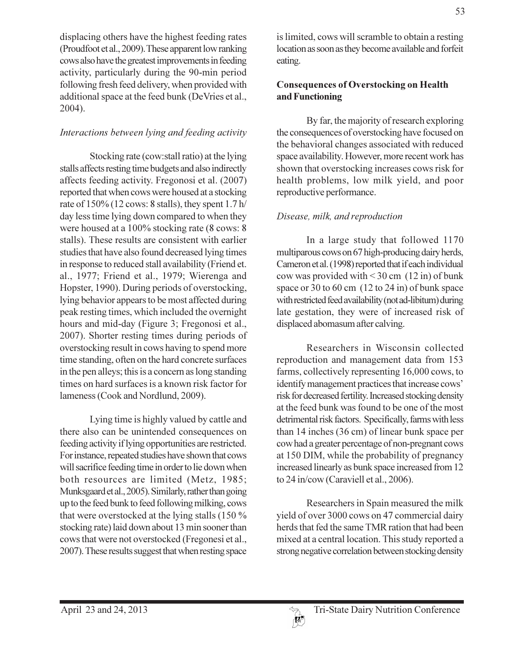displacing others have the highest feeding rates (Proudfoot et al., 2009). These apparent low ranking cows also have the greatest improvements in feeding activity, particularly during the 90-min period following fresh feed delivery, when provided with additional space at the feed bunk (DeVries et al., 2004).

## Interactions between lying and feeding activity

Stocking rate (cow: stall ratio) at the lying stalls affects resting time budgets and also indirectly affects feeding activity. Fregonosi et al. (2007) reported that when cows were housed at a stocking rate of  $150\%$  (12 cows: 8 stalls), they spent 1.7 h/ day less time lying down compared to when they were housed at a 100% stocking rate (8 cows: 8) stalls). These results are consistent with earlier studies that have also found decreased lying times in response to reduced stall availability (Friend et. al., 1977; Friend et al., 1979; Wierenga and Hopster, 1990). During periods of overstocking, lying behavior appears to be most affected during peak resting times, which included the overnight hours and mid-day (Figure 3; Fregonosi et al., 2007). Shorter resting times during periods of overstocking result in cows having to spend more time standing, often on the hard concrete surfaces in the pen alleys; this is a concern as long standing times on hard surfaces is a known risk factor for lameness (Cook and Nordlund, 2009).

Lying time is highly valued by cattle and there also can be unintended consequences on feeding activity if lying opportunities are restricted. For instance, repeated studies have shown that cows will sacrifice feeding time in order to lie down when both resources are limited (Metz, 1985; Munksgaard et al., 2005). Similarly, rather than going up to the feed bunk to feed following milking, cows that were overstocked at the lying stalls (150 % stocking rate) laid down about 13 min sooner than cows that were not overstocked (Fregonesi et al., 2007). These results suggest that when resting space

is limited, cows will scramble to obtain a resting location as soon as they become available and forfeit eating.

## **Consequences of Overstocking on Health** and Functioning

By far, the majority of research exploring the consequences of overstocking have focused on the behavioral changes associated with reduced space availability. However, more recent work has shown that overstocking increases cows risk for health problems, low milk yield, and poor reproductive performance.

## Disease, milk, and reproduction

In a large study that followed 1170 multiparous cows on 67 high-producing dairy herds, Cameron et al. (1998) reported that if each individual cow was provided with  $\leq$  30 cm (12 in) of bunk space or 30 to 60 cm  $(12 \text{ to } 24 \text{ in})$  of bunk space with restricted feed availability (not ad-libitum) during late gestation, they were of increased risk of displaced abomasum after calving.

Researchers in Wisconsin collected reproduction and management data from 153 farms, collectively representing 16,000 cows, to identify management practices that increase cows' risk for decreased fertility. Increased stocking density at the feed bunk was found to be one of the most detrimental risk factors. Specifically, farms with less than  $14$  inches  $(36 \text{ cm})$  of linear bunk space per cow had a greater percentage of non-pregnant cows at 150 DIM, while the probability of pregnancy increased linearly as bunk space increased from 12 to 24 in/cow (Caraviell et al., 2006).

Researchers in Spain measured the milk yield of over 3000 cows on 47 commercial dairy herds that fed the same TMR ration that had been mixed at a central location. This study reported a strong negative correlation between stocking density

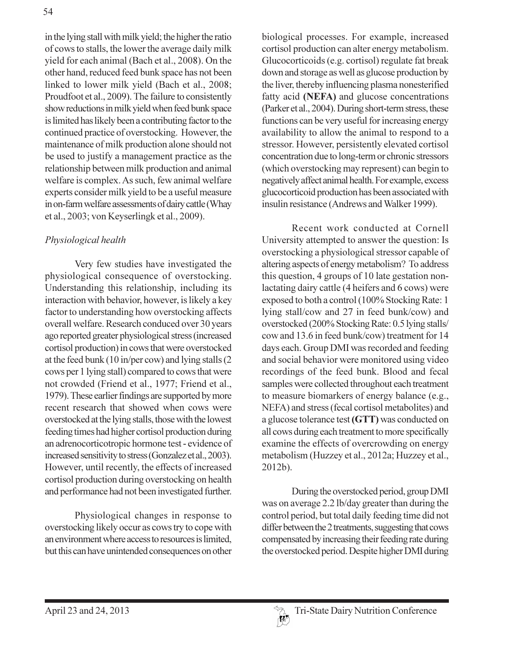in the lying stall with milk yield; the higher the ratio of cows to stalls, the lower the average daily milk vield for each animal (Bach et al., 2008). On the other hand, reduced feed bunk space has not been linked to lower milk yield (Bach et al., 2008; Proudfoot et al., 2009). The failure to consistently show reductions in milk yield when feed bunk space is limited has likely been a contributing factor to the continued practice of overstocking. However, the maintenance of milk production alone should not be used to justify a management practice as the relationship between milk production and animal welfare is complex. As such, few animal welfare experts consider milk yield to be a useful measure in on-farm welfare assessments of dairy cattle (Whay et al., 2003; von Keyserlingk et al., 2009).

## Physiological health

Very few studies have investigated the physiological consequence of overstocking. Understanding this relationship, including its interaction with behavior, however, is likely a key factor to understanding how overstocking affects overall welfare. Research conduced over 30 years ago reported greater physiological stress (increased cortisol production) in cows that were overstocked at the feed bunk  $(10 \text{ in/per cow})$  and lying stalls  $(2 \text{ in/per cow})$ cows per 1 lying stall) compared to cows that were not crowded (Friend et al., 1977; Friend et al., 1979). These earlier findings are supported by more recent research that showed when cows were overstocked at the lying stalls, those with the lowest feeding times had higher cortisol production during an adrenocorticotropic hormone test - evidence of increased sensitivity to stress (Gonzalez et al., 2003). However, until recently, the effects of increased cortisol production during overstocking on health and performance had not been investigated further.

Physiological changes in response to overstocking likely occur as cows try to cope with an environment where access to resources is limited, but this can have unintended consequences on other biological processes. For example, increased cortisol production can alter energy metabolism. Glucocorticoids (e.g. cortisol) regulate fat break down and storage as well as glucose production by the liver, thereby influencing plasma nonesterified fatty acid (NEFA) and glucose concentrations (Parker et al., 2004). During short-term stress, these functions can be very useful for increasing energy availability to allow the animal to respond to a stressor. However, persistently elevated cortisol concentration due to long-term or chronic stressors (which overstocking may represent) can begin to negatively affect animal health. For example, excess glucocorticoid production has been associated with insulin resistance (Andrews and Walker 1999).

Recent work conducted at Cornell University attempted to answer the question: Is overstocking a physiological stressor capable of altering aspects of energy metabolism? To address this question, 4 groups of 10 late gestation nonlactating dairy cattle (4 heifers and 6 cows) were exposed to both a control (100% Stocking Rate: 1) lying stall/cow and 27 in feed bunk/cow) and overstocked (200% Stocking Rate: 0.5 lying stalls/ cow and 13.6 in feed bunk/cow) treatment for 14 days each. Group DMI was recorded and feeding and social behavior were monitored using video recordings of the feed bunk. Blood and fecal samples were collected throughout each treatment to measure biomarkers of energy balance (e.g., NEFA) and stress (fecal cortisol metabolites) and a glucose tolerance test (GTT) was conducted on all cows during each treatment to more specifically examine the effects of overcrowding on energy metabolism (Huzzey et al., 2012a; Huzzey et al., 2012b).

During the overstocked period, group DMI was on average 2.2 lb/day greater than during the control period, but total daily feeding time did not differ between the 2 treatments, suggesting that cows compensated by increasing their feeding rate during the overstocked period. Despite higher DMI during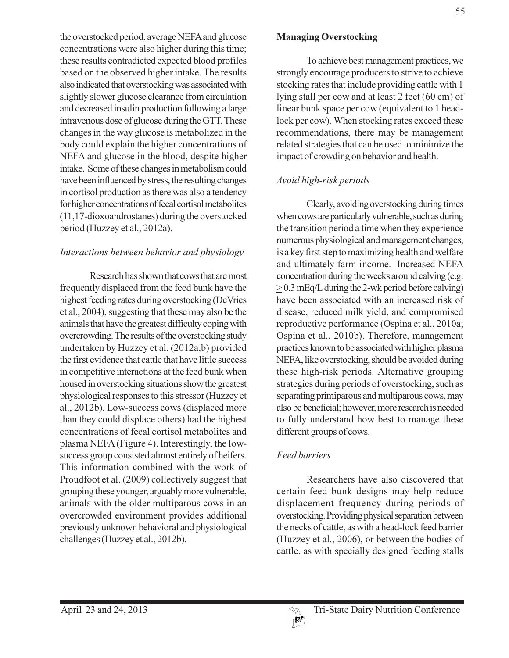the overstocked period, average NEFA and glucose concentrations were also higher during this time; these results contradicted expected blood profiles based on the observed higher intake. The results also indicated that overstocking was associated with slightly slower glucose clearance from circulation and decreased insulin production following a large intravenous dose of glucose during the GTT. These changes in the way glucose is metabolized in the body could explain the higher concentrations of NEFA and glucose in the blood, despite higher intake. Some of these changes in metabolism could have been influenced by stress, the resulting changes in cortisol production as there was also a tendency for higher concentrations of fecal cortisol metabolites  $(11, 17$ -dioxoandrostanes) during the overstocked period (Huzzey et al., 2012a).

#### Interactions between behavior and physiology

Research has shown that cows that are most frequently displaced from the feed bunk have the highest feeding rates during overstocking (DeVries et al., 2004), suggesting that these may also be the animals that have the greatest difficulty coping with overcrowding. The results of the overstocking study undertaken by Huzzey et al. (2012a,b) provided the first evidence that cattle that have little success in competitive interactions at the feed bunk when housed in overstocking situations show the greatest physiological responses to this stressor (Huzzey et al., 2012b). Low-success cows (displaced more than they could displace others) had the highest concentrations of fecal cortisol metabolites and plasma NEFA (Figure 4). Interestingly, the lowsuccess group consisted almost entirely of heifers. This information combined with the work of Proudfoot et al. (2009) collectively suggest that grouping these younger, arguably more vulnerable, animals with the older multiparous cows in an overcrowded environment provides additional previously unknown behavioral and physiological challenges (Huzzey et al., 2012b).

### **Managing Overstocking**

To achieve best management practices, we strongly encourage producers to strive to achieve stocking rates that include providing cattle with 1 lying stall per cow and at least 2 feet (60 cm) of linear bunk space per cow (equivalent to 1 headlock per cow). When stocking rates exceed these recommendations, there may be management related strategies that can be used to minimize the impact of crowding on behavior and health.

## Avoid high-risk periods

Clearly, avoiding overstocking during times when cows are particularly vulnerable, such as during the transition period a time when they experience numerous physiological and management changes, is a key first step to maximizing health and welfare and ultimately farm income. Increased NEFA concentration during the weeks around calving (e.g.  $\geq$  0.3 mEq/L during the 2-wk period before calving) have been associated with an increased risk of disease, reduced milk yield, and compromised reproductive performance (Ospina et al., 2010a; Ospina et al., 2010b). Therefore, management practices known to be associated with higher plasma NEFA, like overstocking, should be avoided during these high-risk periods. Alternative grouping strategies during periods of overstocking, such as separating primiparous and multiparous cows, may also be beneficial; however, more research is needed to fully understand how best to manage these different groups of cows.

### **Feed barriers**

Researchers have also discovered that certain feed bunk designs may help reduce displacement frequency during periods of overstocking. Providing physical separation between the necks of cattle, as with a head-lock feed barrier (Huzzey et al., 2006), or between the bodies of cattle, as with specially designed feeding stalls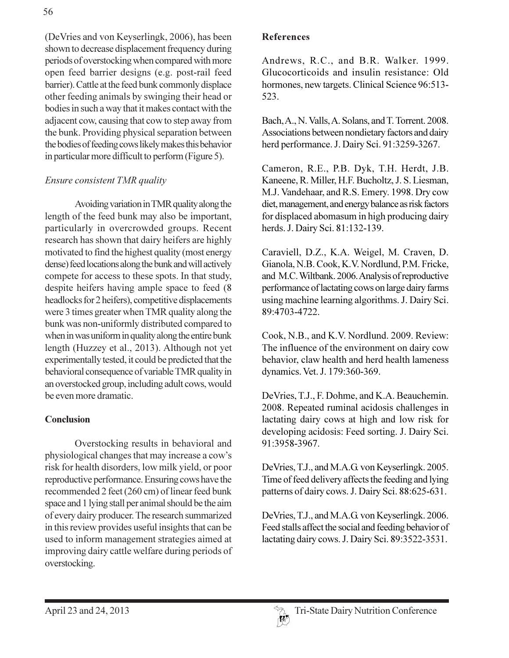(DeVries and von Keyserlingk, 2006), has been shown to decrease displacement frequency during periods of overstocking when compared with more open feed barrier designs (e.g. post-rail feed barrier). Cattle at the feed bunk commonly displace other feeding animals by swinging their head or bodies in such a way that it makes contact with the adjacent cow, causing that cow to step away from the bunk. Providing physical separation between the bodies of feeding cows likely makes this behavior in particular more difficult to perform (Figure 5).

## Ensure consistent TMR quality

Avoiding variation in TMR quality along the length of the feed bunk may also be important, particularly in overcrowded groups. Recent research has shown that dairy heifers are highly motivated to find the highest quality (most energy dense) feed locations along the bunk and will actively compete for access to these spots. In that study, despite heifers having ample space to feed (8) headlocks for 2 heifers), competitive displacements were 3 times greater when TMR quality along the bunk was non-uniformly distributed compared to when in was uniform in quality along the entire bunk length (Huzzey et al., 2013). Although not yet experimentally tested, it could be predicted that the behavioral consequence of variable TMR quality in an overstocked group, including adult cows, would be even more dramatic.

### **Conclusion**

Overstocking results in behavioral and physiological changes that may increase a cow's risk for health disorders, low milk yield, or poor reproductive performance. Ensuring cows have the recommended 2 feet (260 cm) of linear feed bunk space and 1 lying stall per animal should be the aim of every dairy producer. The research summarized in this review provides useful insights that can be used to inform management strategies aimed at improving dairy cattle welfare during periods of overstocking.

#### **References**

Andrews, R.C., and B.R. Walker. 1999. Glucocorticoids and insulin resistance: Old hormones, new targets. Clinical Science 96:513-523.

Bach, A., N. Valls, A. Solans, and T. Torrent. 2008. Associations between nondietary factors and dairy herd performance. J. Dairy Sci. 91:3259-3267.

Cameron, R.E., P.B. Dyk, T.H. Herdt, J.B. Kaneene, R. Miller, H.F. Bucholtz, J. S. Liesman, M.J. Vandehaar, and R.S. Emery. 1998. Dry cow diet, management, and energy balance as risk factors for displaced abomasum in high producing dairy herds. J. Dairy Sci. 81:132-139.

Caraviell, D.Z., K.A. Weigel, M. Craven, D. Gianola, N.B. Cook, K.V. Nordlund, P.M. Fricke, and M.C. Wiltbank. 2006. Analysis of reproductive performance of lactating cows on large dairy farms using machine learning algorithms. J. Dairy Sci. 89:4703-4722.

Cook, N.B., and K.V. Nordlund. 2009. Review: The influence of the environment on dairy cow behavior, claw health and herd health lameness dynamics. Vet. J. 179:360-369.

De Vries, T.J., F. Dohme, and K.A. Beauchemin. 2008. Repeated ruminal acidosis challenges in lactating dairy cows at high and low risk for developing acidosis: Feed sorting. J. Dairy Sci. 91:3958-3967.

DeVries, T.J., and M.A.G. von Keyserlingk. 2005. Time of feed delivery affects the feeding and lying patterns of dairy cows. J. Dairy Sci. 88:625-631.

DeVries, T.J., and M.A.G. von Keyserlingk. 2006. Feed stalls affect the social and feeding behavior of lactating dairy cows. J. Dairy Sci. 89:3522-3531.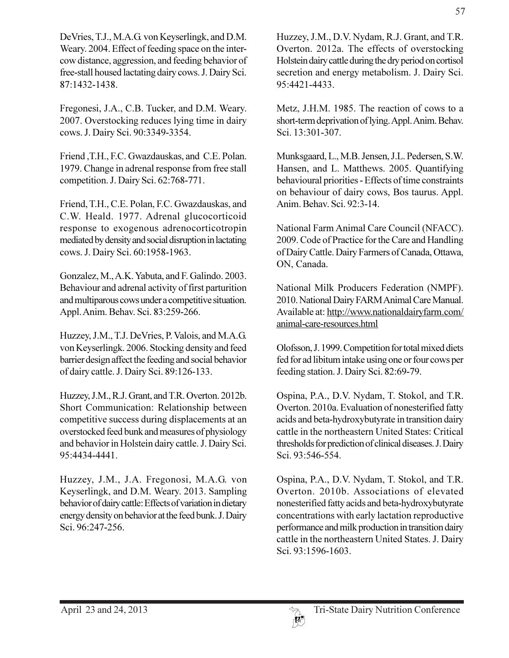DeVries, T.J., M.A.G. von Keyserlingk, and D.M. Weary. 2004. Effect of feeding space on the intercow distance, aggression, and feeding behavior of free-stall housed lactating dairy cows. J. Dairy Sci. 87:1432-1438.

Fregonesi, J.A., C.B. Tucker, and D.M. Weary. 2007. Overstocking reduces lying time in dairy cows. J. Dairy Sci. 90:3349-3354.

Friend, T.H., F.C. Gwazdauskas, and C.E. Polan. 1979. Change in adrenal response from free stall competition. J. Dairy Sci. 62:768-771.

Friend, T.H., C.E. Polan, F.C. Gwazdauskas, and C.W. Heald. 1977. Adrenal glucocorticoid response to exogenous adrenocorticotropin mediated by density and social disruption in lactating cows. J. Dairy Sci. 60:1958-1963.

Gonzalez, M., A.K. Yabuta, and F. Galindo. 2003. Behaviour and adrenal activity of first parturition and multiparous cows under a competitive situation. Appl. Anim. Behav. Sci. 83:259-266.

Huzzey, J.M., T.J. DeVries, P. Valois, and M.A.G. von Keyserlingk. 2006. Stocking density and feed barrier design affect the feeding and social behavior of dairy cattle. J. Dairy Sci. 89:126-133.

Huzzey, J.M., R.J. Grant, and T.R. Overton. 2012b. Short Communication: Relationship between competitive success during displacements at an overstocked feed bunk and measures of physiology and behavior in Holstein dairy cattle. J. Dairy Sci. 95:4434-4441.

Huzzey, J.M., J.A. Fregonosi, M.A.G. von Keyserlingk, and D.M. Weary. 2013. Sampling behavior of dairy cattle: Effects of variation in dietary energy density on behavior at the feed bunk. J. Dairy Sci. 96:247-256.

Huzzey, J.M., D.V. Nydam, R.J. Grant, and T.R. Overton. 2012a. The effects of overstocking Holstein dairy cattle during the dry period on cortisol secretion and energy metabolism. J. Dairy Sci. 95:4421-4433.

Metz, J.H.M. 1985. The reaction of cows to a short-term deprivation of lying. Appl. Anim. Behav. Sci. 13:301-307.

Munksgaard, L., M.B. Jensen, J.L. Pedersen, S.W. Hansen, and L. Matthews. 2005. Quantifying behavioural priorities - Effects of time constraints on behaviour of dairy cows, Bos taurus. Appl. Anim. Behav. Sci. 92:3-14.

National Farm Animal Care Council (NFACC). 2009. Code of Practice for the Care and Handling of Dairy Cattle. Dairy Farmers of Canada, Ottawa, ON, Canada.

National Milk Producers Federation (NMPF). 2010. National Dairy FARM Animal Care Manual. Available at: http://www.nationaldairyfarm.com/ animal-care-resources.html

Olofsson, J. 1999. Competition for total mixed diets fed for ad libitum intake using one or four cows per feeding station. J. Dairy Sci. 82:69-79.

Ospina, P.A., D.V. Nydam, T. Stokol, and T.R. Overton. 2010a. Evaluation of nonesterified fatty acids and beta-hydroxybutyrate in transition dairy cattle in the northeastern United States: Critical thresholds for prediction of clinical diseases. J. Dairy Sci. 93:546-554.

Ospina, P.A., D.V. Nydam, T. Stokol, and T.R. Overton. 2010b. Associations of elevated nonesterified fatty acids and beta-hydroxybutyrate concentrations with early lactation reproductive performance and milk production in transition dairy cattle in the northeastern United States. J. Dairy Sci. 93:1596-1603.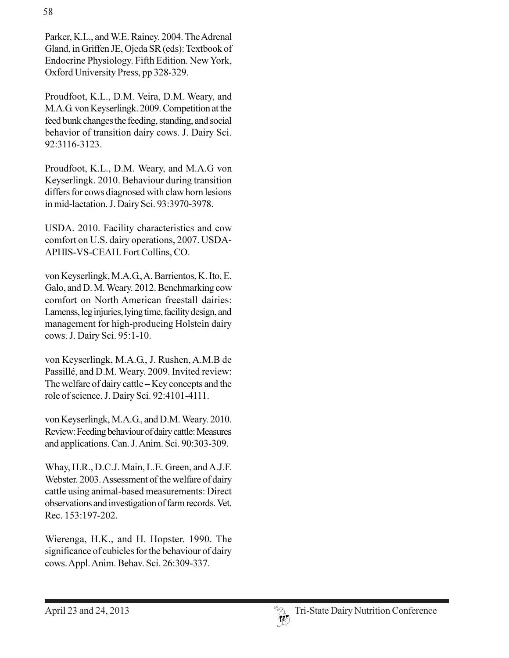Parker, K.L., and W.E. Rainey. 2004. The Adrenal Gland, in Griffen JE, Ojeda SR (eds): Textbook of Endocrine Physiology. Fifth Edition. New York, Oxford University Press, pp 328-329.

Proudfoot, K.L., D.M. Veira, D.M. Weary, and M.A.G. von Keyserlingk. 2009. Competition at the feed bunk changes the feeding, standing, and social behavior of transition dairy cows. J. Dairy Sci. 92:3116-3123.

Proudfoot, K.L., D.M. Weary, and M.A.G von Keyserlingk. 2010. Behaviour during transition differs for cows diagnosed with claw horn lesions in mid-lactation. J. Dairy Sci. 93:3970-3978.

USDA. 2010. Facility characteristics and cow comfort on U.S. dairy operations, 2007. USDA-APHIS-VS-CEAH. Fort Collins, CO.

von Keyserlingk, M.A.G., A. Barrientos, K. Ito, E. Galo, and D. M. Weary. 2012. Benchmarking cow comfort on North American freestall dairies: Lamenss, leg injuries, lying time, facility design, and management for high-producing Holstein dairy cows. J. Dairy Sci. 95:1-10.

von Keyserlingk, M.A.G., J. Rushen, A.M.B de Passillé, and D.M. Weary. 2009. Invited review: The welfare of dairy cattle – Key concepts and the role of science. J. Dairy Sci. 92:4101-4111.

von Keyserlingk, M.A.G., and D.M. Weary. 2010. Review: Feeding behaviour of dairy cattle: Measures and applications. Can. J. Anim. Sci. 90:303-309.

Whay, H.R., D.C.J. Main, L.E. Green, and A.J.F. Webster. 2003. Assessment of the welfare of dairy cattle using animal-based measurements: Direct observations and investigation of farm records. Vet. Rec. 153:197-202.

Wierenga, H.K., and H. Hopster. 1990. The significance of cubicles for the behaviour of dairy cows. Appl. Anim. Behav. Sci. 26:309-337.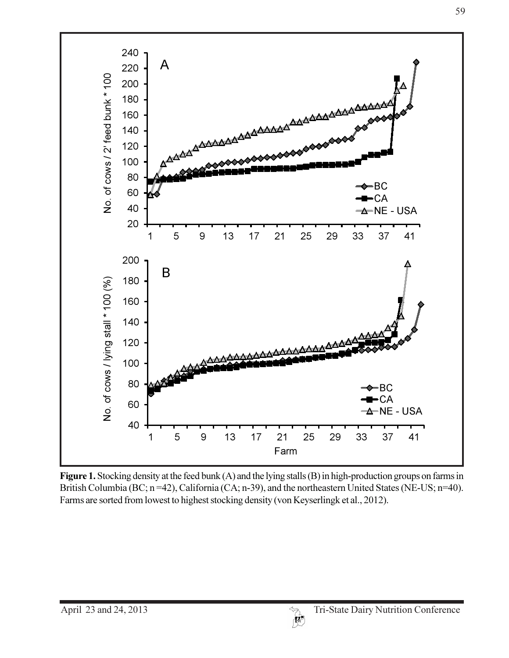

Figure 1. Stocking density at the feed bunk  $(A)$  and the lying stalls  $(B)$  in high-production groups on farms in British Columbia (BC; n=42), California (CA; n-39), and the northeastern United States (NE-US; n=40). Farms are sorted from lowest to highest stocking density (von Keyserlingk et al., 2012).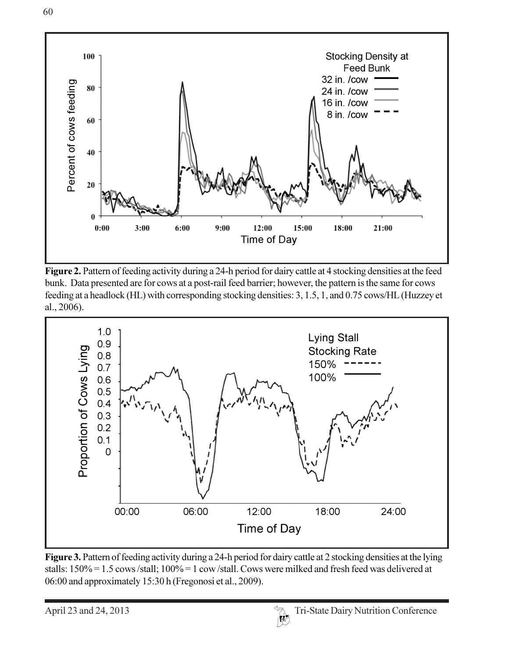

Figure 2. Pattern of feeding activity during a 24-h period for dairy cattle at 4 stocking densities at the feed bunk. Data presented are for cows at a post-rail feed barrier; however, the pattern is the same for cows feeding at a headlock (HL) with corresponding stocking densities: 3, 1.5, 1, and 0.75 cows/HL (Huzzey et al., 2006).



Figure 3. Pattern of feeding activity during a 24-h period for dairy cattle at 2 stocking densities at the lying stalls: 150% = 1.5 cows/stall; 100% = 1 cow/stall. Cows were milked and fresh feed was delivered at 06:00 and approximately 15:30 h (Fregonosi et al., 2009).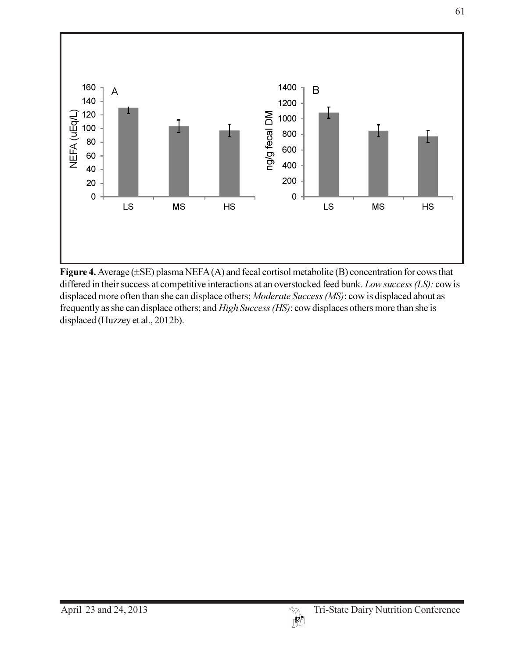

Figure 4. Average  $(\pm SE)$  plasma NEFA $(A)$  and fecal cortisol metabolite  $(B)$  concentration for cows that differed in their success at competitive interactions at an overstocked feed bunk. Low success (LS): cow is displaced more often than she can displace others; Moderate Success (MS): cow is displaced about as frequently as she can displace others; and *High Success (HS)*: cow displaces others more than she is displaced (Huzzey et al., 2012b).